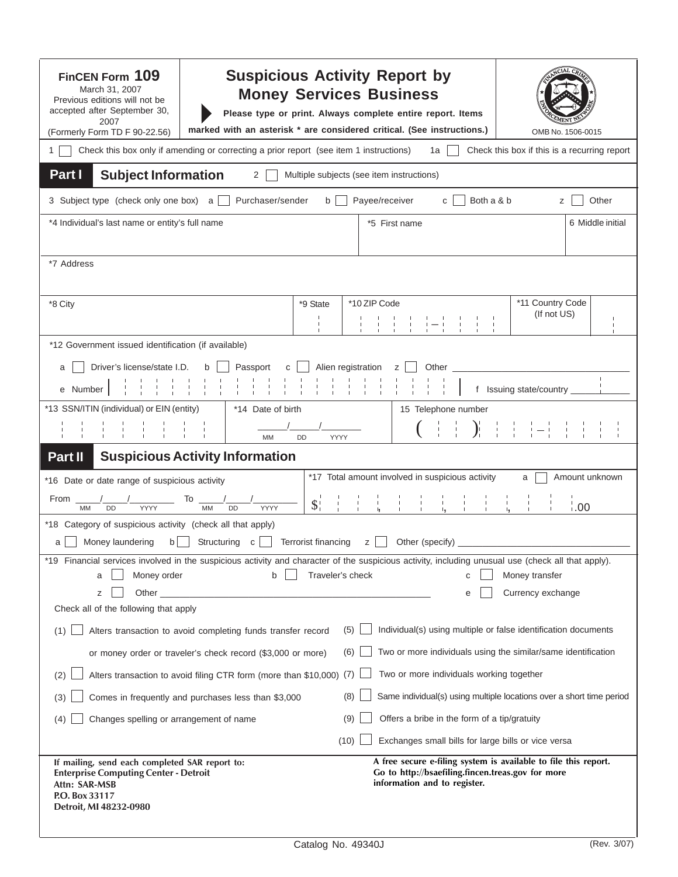| FinCEN Form 109<br>March 31, 2007<br>Previous editions will not be<br>accepted after September 30,<br>2007<br>(Formerly Form TD F 90-22.56)                                                                                                                                                                                     | <b>Suspicious Activity Report by</b><br><b>Money Services Business</b><br>marked with an asterisk * are considered critical. (See instructions.) | Please type or print. Always complete entire report. Items                                                                                    | OMB No. 1506-0015               |  |
|---------------------------------------------------------------------------------------------------------------------------------------------------------------------------------------------------------------------------------------------------------------------------------------------------------------------------------|--------------------------------------------------------------------------------------------------------------------------------------------------|-----------------------------------------------------------------------------------------------------------------------------------------------|---------------------------------|--|
| Check this box only if amending or correcting a prior report (see item 1 instructions)<br>Check this box if this is a recurring report<br>1a                                                                                                                                                                                    |                                                                                                                                                  |                                                                                                                                               |                                 |  |
| Part I<br><b>Subject Information</b><br>Multiple subjects (see item instructions)<br>$\mathbf{2}$                                                                                                                                                                                                                               |                                                                                                                                                  |                                                                                                                                               |                                 |  |
| Purchaser/sender<br>$b$   Payee/receiver<br>Both a & b<br>3 Subject type (check only one box) $a \mid$<br>Other<br>Z                                                                                                                                                                                                            |                                                                                                                                                  |                                                                                                                                               |                                 |  |
| *4 Individual's last name or entity's full name                                                                                                                                                                                                                                                                                 |                                                                                                                                                  | *5 First name                                                                                                                                 | 6 Middle initial                |  |
| *7 Address                                                                                                                                                                                                                                                                                                                      |                                                                                                                                                  |                                                                                                                                               |                                 |  |
| *8 City                                                                                                                                                                                                                                                                                                                         | *9 State<br>$\mathbf{I}$                                                                                                                         | *10 ZIP Code<br>$\frac{1}{2}$ , $\frac{1}{2}$ , $\frac{1}{2}$ , $\frac{1}{2}$ , $\frac{1}{2}$ , $\frac{1}{2}$ , $\frac{1}{2}$ , $\frac{1}{2}$ | *11 Country Code<br>(If not US) |  |
| *12 Government issued identification (if available)                                                                                                                                                                                                                                                                             |                                                                                                                                                  |                                                                                                                                               |                                 |  |
| Passport<br>Driver's license/state I.D.<br>Alien registration<br>a<br>f Issuing state/country<br>e Number                                                                                                                                                                                                                       |                                                                                                                                                  |                                                                                                                                               |                                 |  |
| *13 SSN/ITIN (individual) or EIN (entity)<br>*14 Date of birth<br>15 Telephone number                                                                                                                                                                                                                                           |                                                                                                                                                  |                                                                                                                                               |                                 |  |
| $\frac{1}{2}$ $\frac{1}{2}$ $\frac{1}{2}$ $\frac{1}{2}$ $\frac{1}{2}$ $\frac{1}{2}$ $\frac{1}{2}$ $\frac{1}{2}$ $\frac{1}{2}$ $\frac{1}{2}$<br>$\frac{1}{2}$ , $\frac{1}{2}$ , $\frac{1}{2}$ , $\frac{1}{2}$ , $\frac{1}{2}$ , $\frac{1}{2}$<br><b>MM</b><br><b>DD</b><br><b>YYYY</b>                                           |                                                                                                                                                  |                                                                                                                                               |                                 |  |
| Part II<br><b>Suspicious Activity Information</b>                                                                                                                                                                                                                                                                               |                                                                                                                                                  |                                                                                                                                               |                                 |  |
| *17 Total amount involved in suspicious activity<br>Amount unknown<br>a<br>*16 Date or date range of suspicious activity                                                                                                                                                                                                        |                                                                                                                                                  |                                                                                                                                               |                                 |  |
| From<br>$S_1$ , and a set of the set of the set of the set of the set of the set of the set of the set of the set of the set of the set of the set of the set of the set of the set of the set of the set of the set of the set of th<br>$\cdot$ .00<br><b>MM</b><br>YYYY<br><b>YYYY</b><br><b>DD</b><br><b>MM</b><br><b>DD</b> |                                                                                                                                                  |                                                                                                                                               |                                 |  |
| *18 Category of suspicious activity (check all that apply)                                                                                                                                                                                                                                                                      |                                                                                                                                                  |                                                                                                                                               |                                 |  |
| Structuring c<br>Terrorist financing<br>Money laundering<br>$b$    <br>Z.<br>a                                                                                                                                                                                                                                                  |                                                                                                                                                  |                                                                                                                                               |                                 |  |
| *19 Financial services involved in the suspicious activity and character of the suspicious activity, including unusual use (check all that apply).<br>Money order<br>b<br>Traveler's check<br>Money transfer<br>a                                                                                                               |                                                                                                                                                  |                                                                                                                                               |                                 |  |
| Other $\_\_$<br>Currency exchange<br>Z<br>e                                                                                                                                                                                                                                                                                     |                                                                                                                                                  |                                                                                                                                               |                                 |  |
| Check all of the following that apply                                                                                                                                                                                                                                                                                           |                                                                                                                                                  |                                                                                                                                               |                                 |  |
| Individual(s) using multiple or false identification documents<br>(5)<br>Alters transaction to avoid completing funds transfer record<br>(1)                                                                                                                                                                                    |                                                                                                                                                  |                                                                                                                                               |                                 |  |
| Two or more individuals using the similar/same identification<br>(6)<br>or money order or traveler's check record (\$3,000 or more)                                                                                                                                                                                             |                                                                                                                                                  |                                                                                                                                               |                                 |  |
| Two or more individuals working together<br>Alters transaction to avoid filing CTR form (more than \$10,000) (7)<br>(2)                                                                                                                                                                                                         |                                                                                                                                                  |                                                                                                                                               |                                 |  |
| Same individual(s) using multiple locations over a short time period<br>Comes in frequently and purchases less than \$3,000<br>(8)<br>(3)                                                                                                                                                                                       |                                                                                                                                                  |                                                                                                                                               |                                 |  |
| Offers a bribe in the form of a tip/gratuity<br>Changes spelling or arrangement of name<br>(9)<br>(4)                                                                                                                                                                                                                           |                                                                                                                                                  |                                                                                                                                               |                                 |  |
|                                                                                                                                                                                                                                                                                                                                 |                                                                                                                                                  | (10)<br>Exchanges small bills for large bills or vice versa                                                                                   |                                 |  |
| A free secure e-filing system is available to file this report.<br>If mailing, send each completed SAR report to:<br>Go to http://bsaefiling.fincen.treas.gov for more<br><b>Enterprise Computing Center - Detroit</b><br>information and to register.<br>Attn: SAR-MSB<br>P.O. Box 33117<br>Detroit, MI 48232-0980             |                                                                                                                                                  |                                                                                                                                               |                                 |  |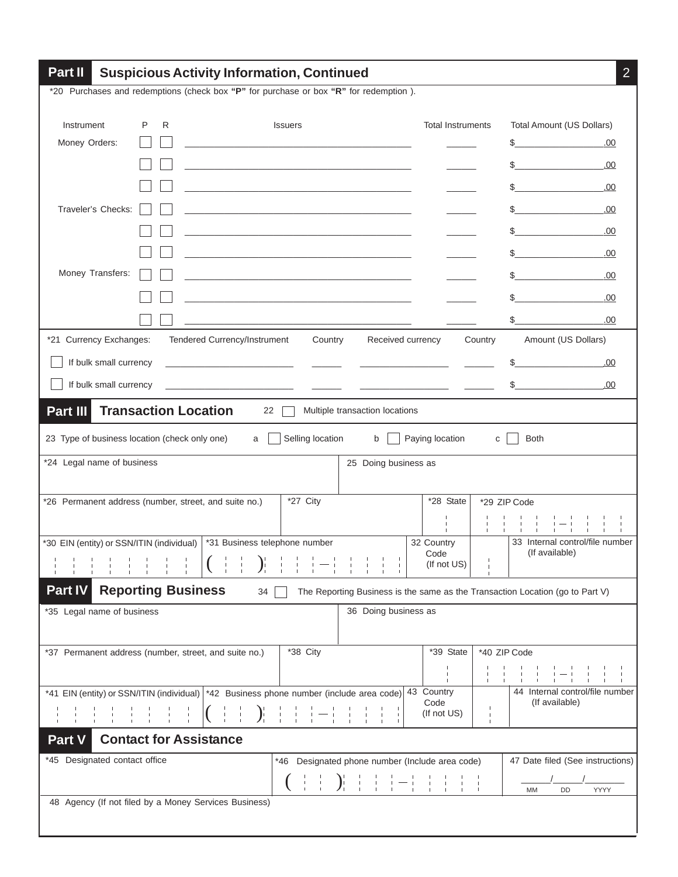| Part II<br><b>Suspicious Activity Information, Continued</b>                                                                                                                                                                                                                                                   | $\overline{2}$                                                                                      |  |  |
|----------------------------------------------------------------------------------------------------------------------------------------------------------------------------------------------------------------------------------------------------------------------------------------------------------------|-----------------------------------------------------------------------------------------------------|--|--|
| *20 Purchases and redemptions (check box "P" for purchase or box "R" for redemption).                                                                                                                                                                                                                          |                                                                                                     |  |  |
| Instrument<br>R<br>P<br><b>Issuers</b><br>Money Orders:<br><u> 1989 - Johann Barn, mars ann an t-Amhain an t-Amhain an t-Amhain an t-Amhain an t-Amhain an t-Amhain an t-Amh</u>                                                                                                                               | Total Amount (US Dollars)<br><b>Total Instruments</b><br>$\mathbb S$<br>.00                         |  |  |
| the control of the control of the control of the control of the control of the control of                                                                                                                                                                                                                      | $\sim$ 5<br>.00                                                                                     |  |  |
| <u> 1989 - Johann Harry Harry Harry Harry Harry Harry Harry Harry Harry Harry Harry Harry Harry Harry Harry Harry Harry Harry Harry Harry Harry Harry Harry Harry Harry Harry Harry Harry Harry Harry Harry Harry Harry Harry Ha</u><br>Traveler's Checks:                                                     | $\mathbb{S}$<br>.00<br>$\mathbb{S}$                                                                 |  |  |
| <u> 1989 - Johann Stein, marwolaethau a bhann an t-Amhain an t-Amhain an t-Amhain an t-Amhain an t-Amhain an t-A</u><br><u> 1989 - Johann John Stone, markin film yn y brening yn y brening yn y brening yn y brening yn y brening yn y b</u>                                                                  | .00<br>$\mathbb S$<br>.00                                                                           |  |  |
| <u> 1989 - Johann John Harry Harry Harry Harry Harry Harry Harry Harry Harry Harry Harry Harry Harry Harry Harry H</u>                                                                                                                                                                                         | $\mathbb S$<br>.00                                                                                  |  |  |
| Money Transfers:<br><u> 1989 - Johann John Stein, markin fan it ferstjer fan it ferstjer fan it ferstjer fan it ferstjer fan it fers</u>                                                                                                                                                                       | $\mathbb{S}$<br>.00                                                                                 |  |  |
| the control of the control of the control of the control of the control of the control of                                                                                                                                                                                                                      | .00                                                                                                 |  |  |
|                                                                                                                                                                                                                                                                                                                | .00<br>\$                                                                                           |  |  |
| *21 Currency Exchanges:<br>Tendered Currency/Instrument                                                                                                                                                                                                                                                        | Country<br>Received currency<br>Country<br>Amount (US Dollars)                                      |  |  |
| If bulk small currency<br><u> 1989 - Andrea State Barbara, Amerikaansk politiker (</u>                                                                                                                                                                                                                         | .00                                                                                                 |  |  |
| If bulk small currency<br>the control of the control of the control of                                                                                                                                                                                                                                         | .00<br>$\mathcal{S}$                                                                                |  |  |
| <b>Transaction Location</b><br><b>Part III</b><br>22<br>Multiple transaction locations                                                                                                                                                                                                                         |                                                                                                     |  |  |
| Selling location<br>23 Type of business location (check only one)<br>Paying location<br>b<br><b>Both</b><br>a<br>$\mathbf{C}$                                                                                                                                                                                  |                                                                                                     |  |  |
| *24 Legal name of business                                                                                                                                                                                                                                                                                     | 25 Doing business as                                                                                |  |  |
| *26 Permanent address (number, street, and suite no.)<br>*27 City                                                                                                                                                                                                                                              | *28 State<br>*29 ZIP Code                                                                           |  |  |
|                                                                                                                                                                                                                                                                                                                | $\mathbf{I}$                                                                                        |  |  |
| *30 EIN (entity) or SSN/ITIN (individual)<br>*31 Business telephone number<br>$\mathbf{z}$ and the state of the state of the state of the state of the state of the state of the state of the state of the state of the state of the state of the state of the state of the state of the state of the state of | 33 Internal control/file number<br>32 Country<br>(If available)<br>Code                             |  |  |
|                                                                                                                                                                                                                                                                                                                | (If not US)                                                                                         |  |  |
| <b>Reporting Business</b><br><b>Part IV</b><br>34                                                                                                                                                                                                                                                              | The Reporting Business is the same as the Transaction Location (go to Part V)                       |  |  |
| *35 Legal name of business                                                                                                                                                                                                                                                                                     | 36 Doing business as                                                                                |  |  |
| *38 City<br>*37 Permanent address (number, street, and suite no.)                                                                                                                                                                                                                                              | *39 State<br>*40 ZIP Code                                                                           |  |  |
|                                                                                                                                                                                                                                                                                                                | 44 Internal control/file number                                                                     |  |  |
| *41 EIN (entity) or SSN/ITIN (individual)   *42 Business phone number (include area code)                                                                                                                                                                                                                      | 43 Country<br>(If available)<br>Code<br>$\mathbf{I}$<br>(If not US)<br>$\mathbf{I}$<br>$\mathbf{I}$ |  |  |
| <b>Contact for Assistance</b><br>Part V                                                                                                                                                                                                                                                                        |                                                                                                     |  |  |
| *45 Designated contact office<br>*46                                                                                                                                                                                                                                                                           | Designated phone number (Include area code)<br>47 Date filed (See instructions)                     |  |  |
| $\frac{1}{4}$ , $\frac{1}{4}$                                                                                                                                                                                                                                                                                  | $\sum_{i=1}^{n}$<br>MM<br>DD<br>YYYY                                                                |  |  |
| 48 Agency (If not filed by a Money Services Business)                                                                                                                                                                                                                                                          |                                                                                                     |  |  |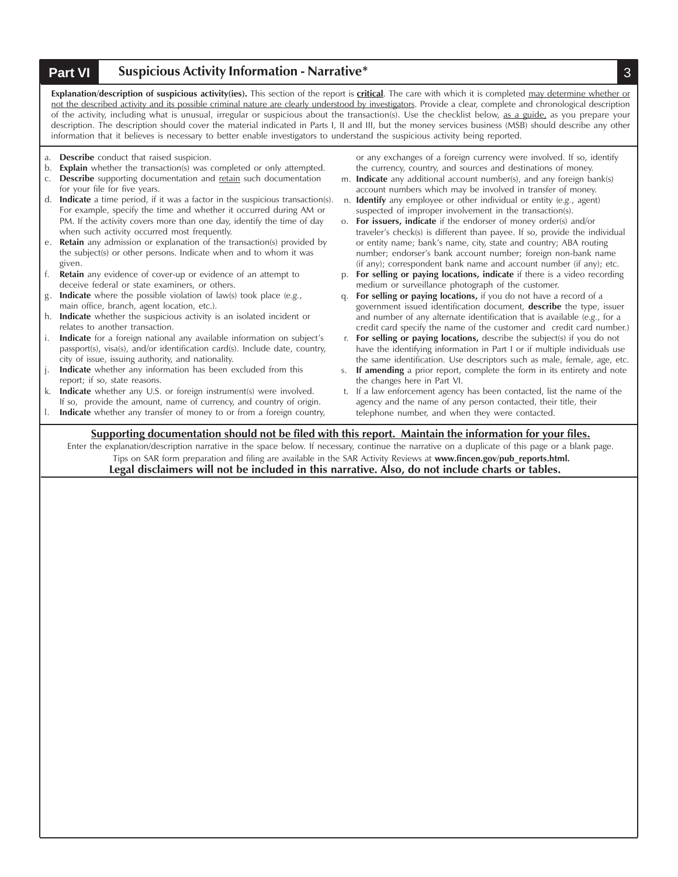# **Part VI Suspicious Activity Information - Narrative\*** 3

**Explanation/description of suspicious activity(ies).** This section of the report is **critical**. The care with which it is completed may determine whether or not the described activity and its possible criminal nature are clearly understood by investigators. Provide a clear, complete and chronological description of the activity, including what is unusual, irregular or suspicious about the transaction(s). Use the checklist below, as a guide, as you prepare your description. The description should cover the material indicated in Parts I, II and III, but the money services business (MSB) should describe any other information that it believes is necessary to better enable investigators to understand the suspicious activity being reported.

- a. **Describe** conduct that raised suspicion.
- b. **Explain** whether the transaction(s) was completed or only attempted.
- c. **Describe** supporting documentation and retain such documentation for your file for five years.
- d. **Indicate** a time period, if it was a factor in the suspicious transaction(s). For example, specify the time and whether it occurred during AM or PM. If the activity covers more than one day, identify the time of day when such activity occurred most frequently.
- **Retain** any admission or explanation of the transaction(s) provided by the subject(s) or other persons. Indicate when and to whom it was given.
- f. **Retain** any evidence of cover-up or evidence of an attempt to deceive federal or state examiners, or others.
- g. **Indicate** where the possible violation of law(s) took place (*e.g.*, main office, branch, agent location, etc.).
- h. **Indicate** whether the suspicious activity is an isolated incident or relates to another transaction.
- i. **Indicate** for a foreign national any available information on subject's passport(s), visa(s), and/or identification card(s). Include date, country, city of issue, issuing authority, and nationality.
- j. **Indicate** whether any information has been excluded from this report; if so, state reasons.
- k. **Indicate** whether any U.S. or foreign instrument(s) were involved.
- If so, provide the amount, name of currency, and country of origin.
- l. **Indicate** whether any transfer of money to or from a foreign country,

or any exchanges of a foreign currency were involved. If so, identify the currency, country, and sources and destinations of money.

- m. **Indicate** any additional account number(s), and any foreign bank(s) account numbers which may be involved in transfer of money.
- n. **Identify** any employee or other individual or entity (*e.g.*, agent) suspected of improper involvement in the transaction(s).
- **For issuers, indicate** if the endorser of money order(s) and/or traveler's check(s) is different than payee. If so, provide the individual or entity name; bank's name, city, state and country; ABA routing number; endorser's bank account number; foreign non-bank name (if any); correspondent bank name and account number (if any); etc.
- p. **For selling or paying locations, indicate** if there is a video recording medium or surveillance photograph of the customer.
- q. **For selling or paying locations,** if you do not have a record of a government issued identification document, **describe** the type, issuer and number of any alternate identification that is available (*e.g.*, for a credit card specify the name of the customer and credit card number.)
- r. **For selling or paying locations,** describe the subject(s) if you do not have the identifying information in Part I or if multiple individuals use the same identification. Use descriptors such as male, female, age, etc.
- s. **If amending** a prior report, complete the form in its entirety and note the changes here in Part VI.
- t. If a law enforcement agency has been contacted, list the name of the agency and the name of any person contacted, their title, their telephone number, and when they were contacted.

### **Supporting documentation should not be filed with this report. Maintain the information for your files.**

Enter the explanation/description narrative in the space below. If necessary, continue the narrative on a duplicate of this page or a blank page. Tips on SAR form preparation and filing are available in the SAR Activity Reviews at **www.fincen.gov/pub\_reports.html. Legal disclaimers will not be included in this narrative. Also, do not include charts or tables.**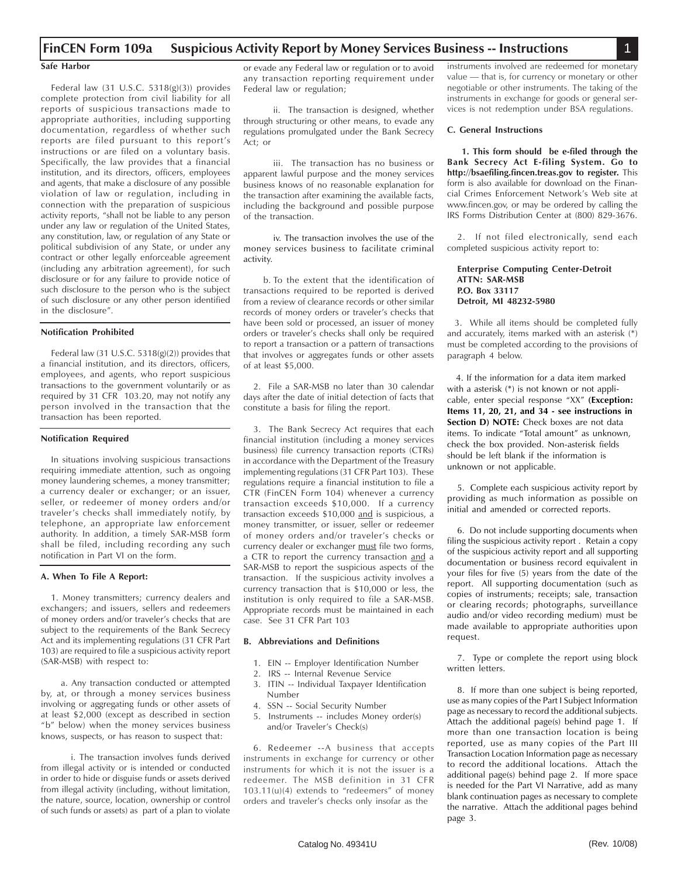## **FinCEN Form 109a Suspicious Activity Report by Money Services Business -- Instructions** 1

### **Safe Harbor**

Federal law (31 U.S.C. 5318(g)(3)) provides complete protection from civil liability for all reports of suspicious transactions made to appropriate authorities, including supporting documentation, regardless of whether such reports are filed pursuant to this report's instructions or are filed on a voluntary basis. Specifically, the law provides that a financial institution, and its directors, officers, employees and agents, that make a disclosure of any possible violation of law or regulation, including in connection with the preparation of suspicious activity reports, "shall not be liable to any person under any law or regulation of the United States, any constitution, law, or regulation of any State or political subdivision of any State, or under any contract or other legally enforceable agreement (including any arbitration agreement), for such disclosure or for any failure to provide notice of such disclosure to the person who is the subject of such disclosure or any other person identified in the disclosure".

### **Notification Prohibited**

Federal law (31 U.S.C. 5318(g)(2)) provides that a financial institution, and its directors, officers, employees, and agents, who report suspicious transactions to the government voluntarily or as required by 31 CFR 103.20, may not notify any person involved in the transaction that the transaction has been reported.

#### **Notification Required**

In situations involving suspicious transactions requiring immediate attention, such as ongoing money laundering schemes, a money transmitter; a currency dealer or exchanger; or an issuer, seller, or redeemer of money orders and/or traveler's checks shall immediately notify, by telephone, an appropriate law enforcement authority. In addition, a timely SAR-MSB form shall be filed, including recording any such notification in Part VI on the form.

#### **A. When To File A Report:**

1. Money transmitters; currency dealers and exchangers; and issuers, sellers and redeemers of money orders and/or traveler's checks that are subject to the requirements of the Bank Secrecy Act and its implementing regulations (31 CFR Part 103) are required to file a suspicious activity report (SAR-MSB) with respect to:

a. Any transaction conducted or attempted by, at, or through a money services business involving or aggregating funds or other assets of at least \$2,000 (except as described in section "b" below) when the money services business knows, suspects, or has reason to suspect that:

i. The transaction involves funds derived from illegal activity or is intended or conducted in order to hide or disguise funds or assets derived from illegal activity (including, without limitation, the nature, source, location, ownership or control of such funds or assets) as part of a plan to violate

or evade any Federal law or regulation or to avoid any transaction reporting requirement under Federal law or regulation;

ii. The transaction is designed, whether through structuring or other means, to evade any regulations promulgated under the Bank Secrecy Act; or

iii. The transaction has no business or apparent lawful purpose and the money services business knows of no reasonable explanation for the transaction after examining the available facts, including the background and possible purpose of the transaction.

iv. The transaction involves the use of the money services business to facilitate criminal activity.

b. To the extent that the identification of transactions required to be reported is derived from a review of clearance records or other similar records of money orders or traveler's checks that have been sold or processed, an issuer of money orders or traveler's checks shall only be required to report a transaction or a pattern of transactions that involves or aggregates funds or other assets of at least \$5,000.

2. File a SAR-MSB no later than 30 calendar days after the date of initial detection of facts that constitute a basis for filing the report.

3. The Bank Secrecy Act requires that each financial institution (including a money services business) file currency transaction reports (CTRs) in accordance with the Department of the Treasury implementing regulations (31 CFR Part 103). These regulations require a financial institution to file a CTR (FinCEN Form 104) whenever a currency transaction exceeds \$10,000. If a currency transaction exceeds \$10,000 and is suspicious, a money transmitter, or issuer, seller or redeemer of money orders and/or traveler's checks or currency dealer or exchanger must file two forms, a CTR to report the currency transaction and a SAR-MSB to report the suspicious aspects of the transaction. If the suspicious activity involves a currency transaction that is \$10,000 or less, the institution is only required to file a SAR-MSB. Appropriate records must be maintained in each case. See 31 CFR Part 103

### **B. Abbreviations and Definitions**

- 1. EIN -- Employer Identification Number
- 2. IRS -- Internal Revenue Service
- 3. ITIN -- Individual Taxpayer Identification Number
- 4. SSN -- Social Security Number
- 5. Instruments -- includes Money order(s) and/or Traveler's Check(s)

6. Redeemer --A business that accepts instruments in exchange for currency or other instruments for which it is not the issuer is a redeemer. The MSB definition in 31 CFR 103.11(u)(4) extends to "redeemers" of money orders and traveler's checks only insofar as the

instruments involved are redeemed for monetary value — that is, for currency or monetary or other negotiable or other instruments. The taking of the instruments in exchange for goods or general services is not redemption under BSA regulations.

#### **C. General Instructions**

 **1. This form should be e-filed through the Bank Secrecy Act E-filing System. Go to http://bsaefiling.fincen.treas.gov to register.** This form is also available for download on the Financial Crimes Enforcement Network's Web site at www.fincen.gov, or may be ordered by calling the IRS Forms Distribution Center at (800) 829-3676.

2. If not filed electronically, send each completed suspicious activity report to:

#### **Enterprise Computing Center-Detroit ATTN: SAR-MSB P.O. Box 33117 Detroit, MI 48232-5980**

 3. While all items should be completed fully and accurately, items marked with an asterisk (\*) must be completed according to the provisions of paragraph 4 below.

 4. If the information for a data item marked with a asterisk (\*) is not known or not applicable, enter special response "XX" **(Exception: Items 11, 20, 21, and 34 - see instructions in Section D) NOTE:** Check boxes are not data items. To indicate "Total amount" as unknown, check the box provided. Non-asterisk fields should be left blank if the information is unknown or not applicable.

5. Complete each suspicious activity report by providing as much information as possible on initial and amended or corrected reports.

6. Do not include supporting documents when filing the suspicious activity report . Retain a copy of the suspicious activity report and all supporting documentation or business record equivalent in your files for five (5) years from the date of the report. All supporting documentation (such as copies of instruments; receipts; sale, transaction or clearing records; photographs, surveillance audio and/or video recording medium) must be made available to appropriate authorities upon request.

7. Type or complete the report using block written letters.

8. If more than one subject is being reported, use as many copies of the Part I Subject Information page as necessary to record the additional subjects. Attach the additional page(s) behind page 1. If more than one transaction location is being reported, use as many copies of the Part III Transaction Location Information page as necessary to record the additional locations. Attach the additional page(s) behind page 2. If more space is needed for the Part VI Narrative, add as many blank continuation pages as necessary to complete the narrative. Attach the additional pages behind page 3.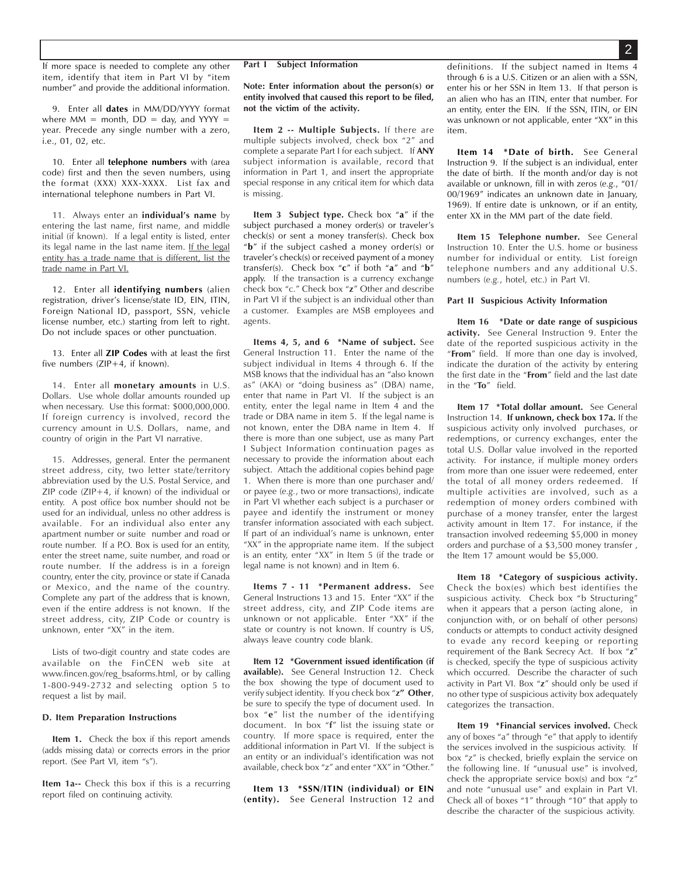If more space is needed to complete any other item, identify that item in Part VI by "item number" and provide the additional information.

9. Enter all **dates** in MM/DD/YYYY format where  $MM =$  month,  $DD =$  day, and YYYY = year. Precede any single number with a zero, i.e., 01, 02, etc.

10. Enter all **telephone numbers** with (area code) first and then the seven numbers, using the format (XXX) XXX-XXXX. List fax and international telephone numbers in Part VI.

11. Always enter an **individual's name** by entering the last name, first name, and middle initial (if known). If a legal entity is listed, enter its legal name in the last name item. If the legal entity has a trade name that is different, list the trade name in Part VI.

12. Enter all **identifying numbers** (alien registration, driver's license/state ID, EIN, ITIN, Foreign National ID, passport, SSN, vehicle license number, etc.) starting from left to right. Do not include spaces or other punctuation.

13. Enter all **ZIP Codes** with at least the first five numbers (ZIP+4, if known).

14. Enter all **monetary amounts** in U.S. Dollars. Use whole dollar amounts rounded up when necessary. Use this format: \$000,000,000. If foreign currency is involved, record the currency amount in U.S. Dollars, name, and country of origin in the Part VI narrative.

15. Addresses, general. Enter the permanent street address, city, two letter state/territory abbreviation used by the U.S. Postal Service, and ZIP code (ZIP+4, if known) of the individual or entity. A post office box number should not be used for an individual, unless no other address is available. For an individual also enter any apartment number or suite number and road or route number. If a P.O. Box is used for an entity, enter the street name, suite number, and road or route number. If the address is in a foreign country, enter the city, province or state if Canada or Mexico, and the name of the country. Complete any part of the address that is known, even if the entire address is not known. If the street address, city, ZIP Code or country is unknown, enter "XX" in the item.

Lists of two-digit country and state codes are available on the FinCEN web site at www.fincen.gov/reg\_bsaforms.html, or by calling 1-800-949-2732 and selecting option 5 to request a list by mail.

#### **D. Item Preparation Instructions**

**Item 1.** Check the box if this report amends (adds missing data) or corrects errors in the prior report. (See Part VI, item "s").

**Item 1a--** Check this box if this is a recurring report filed on continuing activity.

#### **Part I Subject Information**

**Note: Enter information about the person(s) or entity involved that caused this report to be filed, not the victim of the activity.**

**Item 2 -- Multiple Subjects.** If there are multiple subjects involved, check box "2" and complete a separate Part I for each subject. If **ANY** subject information is available, record that information in Part 1, and insert the appropriate special response in any critical item for which data is missing.

**Item 3 Subject type.** Check box "**a**" if the subject purchased a money order(s) or traveler's check(s) or sent a money transfer(s). Check box "**b**" if the subject cashed a money order(s) or traveler's check(s) or received payment of a money transfer(s). Check box "**c**" if both "**a**" and "**b**" apply. If the transaction is a currency exchange check box "c." Check box "**z**" Other and describe in Part VI if the subject is an individual other than a customer. Examples are MSB employees and agents.

**Items 4, 5, and 6 \*Name of subject.** See General Instruction 11. Enter the name of the subject individual in Items 4 through 6. If the MSB knows that the individual has an "also known as" (AKA) or "doing business as" (DBA) name, enter that name in Part VI. If the subject is an entity, enter the legal name in Item 4 and the trade or DBA name in item 5. If the legal name is not known, enter the DBA name in Item 4. If there is more than one subject, use as many Part I Subject Information continuation pages as necessary to provide the information about each subject. Attach the additional copies behind page 1. When there is more than one purchaser and/ or payee (*e.g.*, two or more transactions), indicate in Part VI whether each subject is a purchaser or payee and identify the instrument or money transfer information associated with each subject. If part of an individual's name is unknown, enter "XX" in the appropriate name item. If the subject is an entity, enter "XX" in Item 5 (if the trade or legal name is not known) and in Item 6.

**Items 7 - 11 \*Permanent address.** See General Instructions 13 and 15. Enter "XX" if the street address, city, and ZIP Code items are unknown or not applicable. Enter "XX" if the state or country is not known. If country is US, always leave country code blank.

**Item 12 \*Government issued identification (if available).** See General Instruction 12. Check the box showing the type of document used to verify subject identity. If you check box "**z" Other**, be sure to specify the type of document used. In box "**e**" list the number of the identifying document. In box "**f**" list the issuing state or country. If more space is required, enter the additional information in Part VI. If the subject is an entity or an individual's identification was not available, check box "z" and enter "XX" in "Other."

**Item 13 \*SSN/ITIN (individual) or EIN (entity).** See General Instruction 12 and definitions. If the subject named in Items 4 through 6 is a U.S. Citizen or an alien with a SSN, enter his or her SSN in Item 13. If that person is an alien who has an ITIN, enter that number. For an entity, enter the EIN. If the SSN, ITIN, or EIN was unknown or not applicable, enter "XX" in this item.

**Item 14 \*Date of birth.** See General Instruction 9. If the subject is an individual, enter the date of birth. If the month and/or day is not available or unknown, fill in with zeros (*e.g.*, "01/ 00/1969" indicates an unknown date in January, 1969). If entire date is unknown, or if an entity, enter XX in the MM part of the date field.

**Item 15 Telephone number.** See General Instruction 10. Enter the U.S. home or business number for individual or entity. List foreign telephone numbers and any additional U.S. numbers (*e.g.*, hotel, etc.) in Part VI.

#### **Part II Suspicious Activity Information**

**Item 16 \*Date or date range of suspicious activity.** See General Instruction 9. Enter the date of the reported suspicious activity in the "**From**" field. If more than one day is involved, indicate the duration of the activity by entering the first date in the "**From**" field and the last date in the "**To**" field.

**Item 17 \*Total dollar amount.** See General Instruction 14. **If unknown, check box 17a.** If the suspicious activity only involved purchases, or redemptions, or currency exchanges, enter the total U.S. Dollar value involved in the reported activity. For instance, if multiple money orders from more than one issuer were redeemed, enter the total of all money orders redeemed. If multiple activities are involved, such as a redemption of money orders combined with purchase of a money transfer, enter the largest activity amount in Item 17. For instance, if the transaction involved redeeming \$5,000 in money orders and purchase of a \$3,500 money transfer , the Item 17 amount would be \$5,000.

**Item 18 \*Category of suspicious activity.** Check the box(es) which best identifies the suspicious activity. Check box "b Structuring" when it appears that a person (acting alone, in conjunction with, or on behalf of other persons) conducts or attempts to conduct activity designed to evade any record keeping or reporting requirement of the Bank Secrecy Act. If box "**z**" is checked, specify the type of suspicious activity which occurred. Describe the character of such activity in Part VI. Box "**z**" should only be used if no other type of suspicious activity box adequately categorizes the transaction.

**Item 19 \*Financial services involved.** Check any of boxes "a" through "e" that apply to identify the services involved in the suspicious activity. If box "z" is checked, briefly explain the service on the following line. If "unusual use" is involved, check the appropriate service box(s) and box "z" and note "unusual use" and explain in Part VI. Check all of boxes "1" through "10" that apply to describe the character of the suspicious activity.